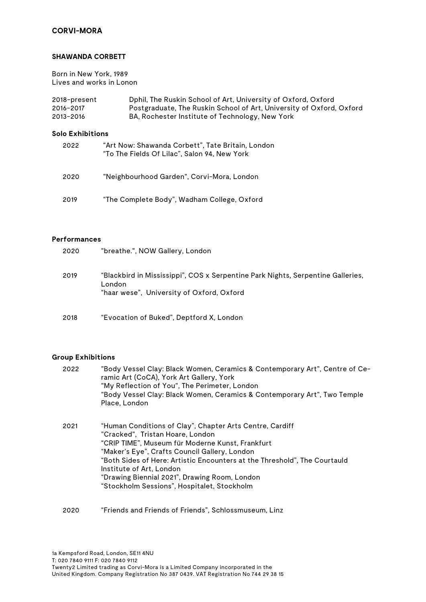# **CORVI-MORA**

#### **SHAWANDA CORBETT**

Born in New York, 1989 Lives and works in Lonon

| 2018-present | Dphil, The Ruskin School of Art, University of Oxford, Oxford        |
|--------------|----------------------------------------------------------------------|
| 2016-2017    | Postgraduate, The Ruskin School of Art, University of Oxford, Oxford |
| 2013-2016    | BA, Rochester Institute of Technology, New York                      |

# **Solo Exhibitions**

| 2022 | "Art Now: Shawanda Corbett", Tate Britain, London<br>"To The Fields Of Lilac", Salon 94, New York |
|------|---------------------------------------------------------------------------------------------------|
| 2020 | "Neighbourhood Garden", Corvi-Mora, London                                                        |
| 2019 | "The Complete Body", Wadham College, Oxford                                                       |

#### **Performances**

| 2020 | "breathe.", NOW Gallery, London                                                                                                      |
|------|--------------------------------------------------------------------------------------------------------------------------------------|
| 2019 | "Blackbird in Mississippi", COS x Serpentine Park Nights, Serpentine Galleries,<br>London<br>"haar wese",University of Oxford,Oxford |
| 2018 | "Evocation of Buked", Deptford X, London                                                                                             |

#### **Group Exhibitions**

| 2022 | "Body Vessel Clay: Black Women, Ceramics & Contemporary Art", Centre of Ce-<br>ramic Art (CoCA), York Art Gallery, York<br>"My Reflection of You", The Perimeter, London<br>"Body Vessel Clay: Black Women, Ceramics & Contemporary Art", Two Temple<br>Place, London                                                                                                                                      |
|------|------------------------------------------------------------------------------------------------------------------------------------------------------------------------------------------------------------------------------------------------------------------------------------------------------------------------------------------------------------------------------------------------------------|
| 2021 | "Human Conditions of Clay", Chapter Arts Centre, Cardiff<br>"Cracked", Tristan Hoare, London<br>"CRIP TIME", Museum für Moderne Kunst, Frankfurt<br>"Maker's Eye", Crafts Council Gallery, London<br>"Both Sides of Here: Artistic Encounters at the Threshold", The Courtauld<br>Institute of Art, London<br>"Drawing Biennial 2021", Drawing Room, London<br>"Stockholm Sessions", Hospitalet, Stockholm |

# 2020 "Friends and Friends of Friends", Schlossmuseum, Linz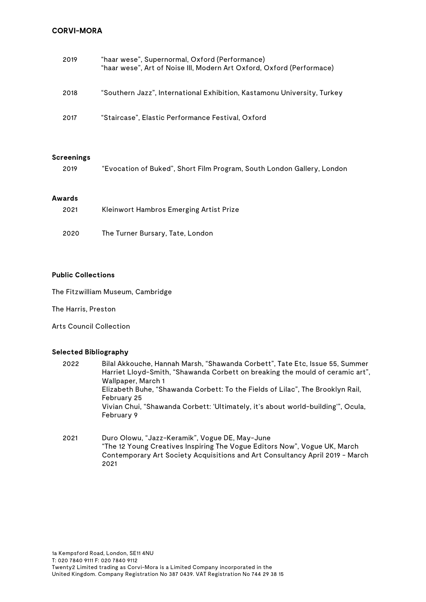# **CORVI-MORA**

| 2019 | "haar wese", Supernormal, Oxford (Performance)<br>"haar wese", Art of Noise III, Modern Art Oxford, Oxford (Performace) |
|------|-------------------------------------------------------------------------------------------------------------------------|
| 2018 | "Southern Jazz", International Exhibition, Kastamonu University, Turkey                                                 |
| 2017 | "Staircase", Elastic Performance Festival, Oxford                                                                       |

#### **Screenings**

|  |  |  |  | "Evocation of Buked", Short Film Program, South London Gallery, London | 2019 |
|--|--|--|--|------------------------------------------------------------------------|------|
|--|--|--|--|------------------------------------------------------------------------|------|

# **Awards**

| 2021 | Kleinwort Hambros Emerging Artist Prize |
|------|-----------------------------------------|
| 2020 | The Turner Bursary, Tate, London        |

#### **Public Collections**

The Fitzwilliam Museum, Cambridge

The Harris, Preston

Arts Council Collection

#### **Selected Bibliography**

| 2022 | Bilal Akkouche, Hannah Marsh, "Shawanda Corbett", Tate Etc, Issue 55, Summer     |
|------|----------------------------------------------------------------------------------|
|      | Harriet Lloyd-Smith, "Shawanda Corbett on breaking the mould of ceramic art",    |
|      | Wallpaper, March 1                                                               |
|      | Elizabeth Buhe, "Shawanda Corbett: To the Fields of Lilac", The Brooklyn Rail,   |
|      | February 25                                                                      |
|      | Vivian Chui, "Shawanda Corbett: 'Ultimately, it's about world-building'", Ocula, |
|      | February 9                                                                       |
|      |                                                                                  |
|      |                                                                                  |

2021 Duro Olowu, "Jazz-Keramik", Vogue DE, May-June "The 12 Young Creatives Inspiring The Vogue Editors Now", Vogue UK, March Contemporary Art Society Acquisitions and Art Consultancy April 2019 - March 2021